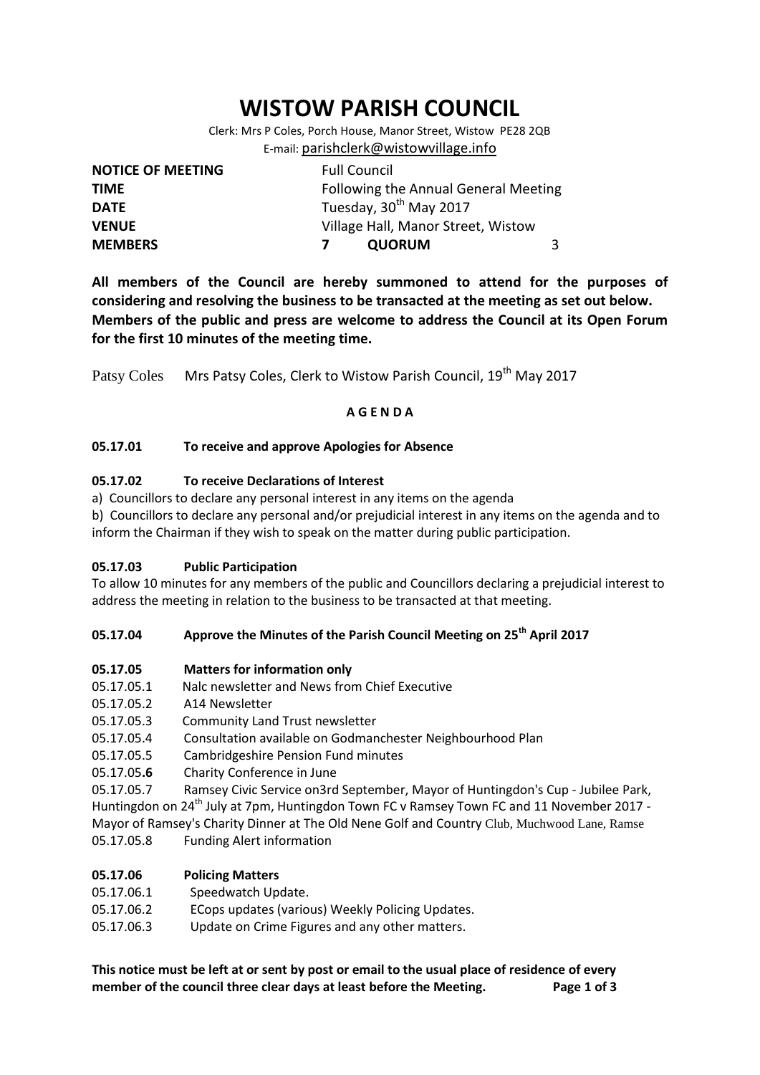# **WISTOW PARISH COUNCIL**

Clerk: Mrs P Coles, Porch House, Manor Street, Wistow PE28 2QB E-mail: [parishclerk@wistowvillage.info](mailto:parishclerk@wistowvillage.info)

| <b>NOTICE OF MEETING</b> | <b>Full Council</b>                  |   |
|--------------------------|--------------------------------------|---|
| <b>TIME</b>              | Following the Annual General Meeting |   |
| <b>DATE</b>              | Tuesday, 30 <sup>th</sup> May 2017   |   |
| <b>VENUE</b>             | Village Hall, Manor Street, Wistow   |   |
| <b>MEMBERS</b>           | <b>QUORUM</b>                        | 3 |

**All members of the Council are hereby summoned to attend for the purposes of considering and resolving the business to be transacted at the meeting as set out below. Members of the public and press are welcome to address the Council at its Open Forum for the first 10 minutes of the meeting time.**

Patsy Coles Mrs Patsy Coles, Clerk to Wistow Parish Council, 19<sup>th</sup> May 2017

# **A G E N D A**

# **05.17.01 To receive and approve Apologies for Absence**

# **05.17.02 To receive Declarations of Interest**

a) Councillors to declare any personal interest in any items on the agenda

b) Councillors to declare any personal and/or prejudicial interest in any items on the agenda and to inform the Chairman if they wish to speak on the matter during public participation.

## **05.17.03 Public Participation**

To allow 10 minutes for any members of the public and Councillors declaring a prejudicial interest to address the meeting in relation to the business to be transacted at that meeting.

# **05.17.04 Approve the Minutes of the Parish Council Meeting on 25th April 2017**

## **05.17.05 Matters for information only**

- 05.17.05.1 Nalc newsletter and News from Chief Executive
- 05.17.05.2 A14 Newsletter
- 05.17.05.3 Community Land Trust newsletter
- 05.17.05.4 Consultation available on Godmanchester Neighbourhood Plan
- 05.17.05.5 Cambridgeshire Pension Fund minutes
- 05.17.05**.6** Charity Conference in June

05.17.05.7 Ramsey Civic Service on3rd September, Mayor of Huntingdon's Cup - Jubilee Park, Huntingdon on 24<sup>th</sup> July at 7pm, Huntingdon Town FC v Ramsey Town FC and 11 November 2017 -Mayor of Ramsey's Charity Dinner at The Old Nene Golf and Country Club, Muchwood Lane, Ramse 05.17.05.8 Funding Alert information

## **05.17.06 Policing Matters**

- 05.17.06.1 Speedwatch Update.
- 05.17.06.2 ECops updates (various) Weekly Policing Updates.
- 05.17.06.3 Update on Crime Figures and any other matters.

**This notice must be left at or sent by post or email to the usual place of residence of every member of the council three clear days at least before the Meeting. Page 1 of 3**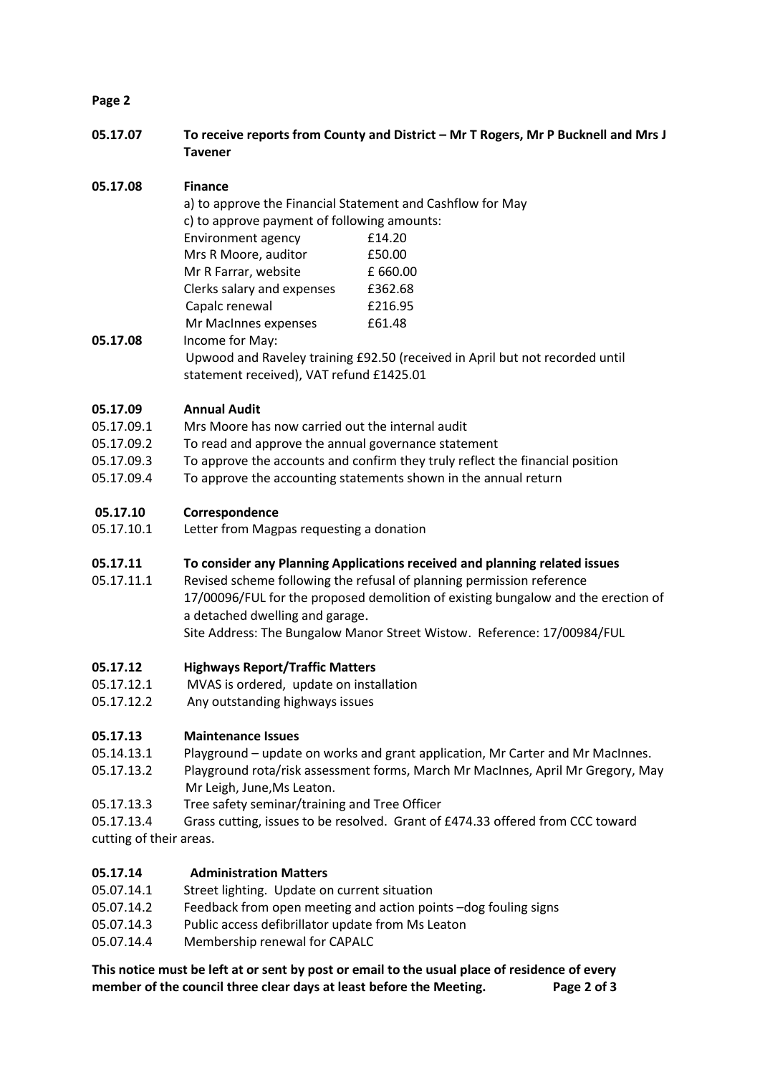## **Page 2**

**05.17.07 To receive reports from County and District – Mr T Rogers, Mr P Bucknell and Mrs J Tavener**

# **05.17.08 Finance**

|          |                                                                                                                          | a) to approve the Financial Statement and Cashflow for May |  |
|----------|--------------------------------------------------------------------------------------------------------------------------|------------------------------------------------------------|--|
|          | c) to approve payment of following amounts:                                                                              |                                                            |  |
|          | Environment agency                                                                                                       | £14.20                                                     |  |
|          | Mrs R Moore, auditor                                                                                                     | £50.00                                                     |  |
|          | Mr R Farrar, website                                                                                                     | £660.00                                                    |  |
|          | Clerks salary and expenses                                                                                               | £362.68                                                    |  |
|          | Capalc renewal                                                                                                           | £216.95                                                    |  |
|          | Mr MacInnes expenses                                                                                                     | £61.48                                                     |  |
| 05.17.08 | Income for May:                                                                                                          |                                                            |  |
|          | Upwood and Raveley training £92.50 (received in April but not recorded until<br>statement received), VAT refund £1425.01 |                                                            |  |

# **05.17.09 Annual Audit**

- 05.17.09.1 Mrs Moore has now carried out the internal audit
- 05.17.09.2 To read and approve the annual governance statement
- 05.17.09.3 To approve the accounts and confirm they truly reflect the financial position
- 05.17.09.4 To approve the accounting statements shown in the annual return

# **05.17.10 Correspondence**

- 05.17.10.1 Letter from Magpas requesting a donation
- **05.17.11 To consider any Planning Applications received and planning related issues**
- 05.17.11.1 Revised scheme following the refusal of planning permission reference 17/00096/FUL for the proposed demolition of existing bungalow and the erection of a detached dwelling and garage. Site Address: The Bungalow Manor Street Wistow. Reference: 17/00984/FUL

## **05.17.12 Highways Report/Traffic Matters**

- 05.17.12.1 MVAS is ordered, update on installation
- 05.17.12.2 Any outstanding highways issues

## **05.17.13 Maintenance Issues**

- 05.14.13.1 Playground update on works and grant application, Mr Carter and Mr MacInnes.
- 05.17.13.2 Playground rota/risk assessment forms, March Mr MacInnes, April Mr Gregory, May Mr Leigh, June,Ms Leaton.
- 05.17.13.3 Tree safety seminar/training and Tree Officer

05.17.13.4 Grass cutting, issues to be resolved. Grant of £474.33 offered from CCC toward cutting of their areas.

## **05.17.14 Administration Matters**

- 05.07.14.1 Street lighting. Update on current situation
- 05.07.14.2 Feedback from open meeting and action points –dog fouling signs
- 05.07.14.3 Public access defibrillator update from Ms Leaton
- 05.07.14.4 Membership renewal for CAPALC

**This notice must be left at or sent by post or email to the usual place of residence of every member of the council three clear days at least before the Meeting. Page 2 of 3**